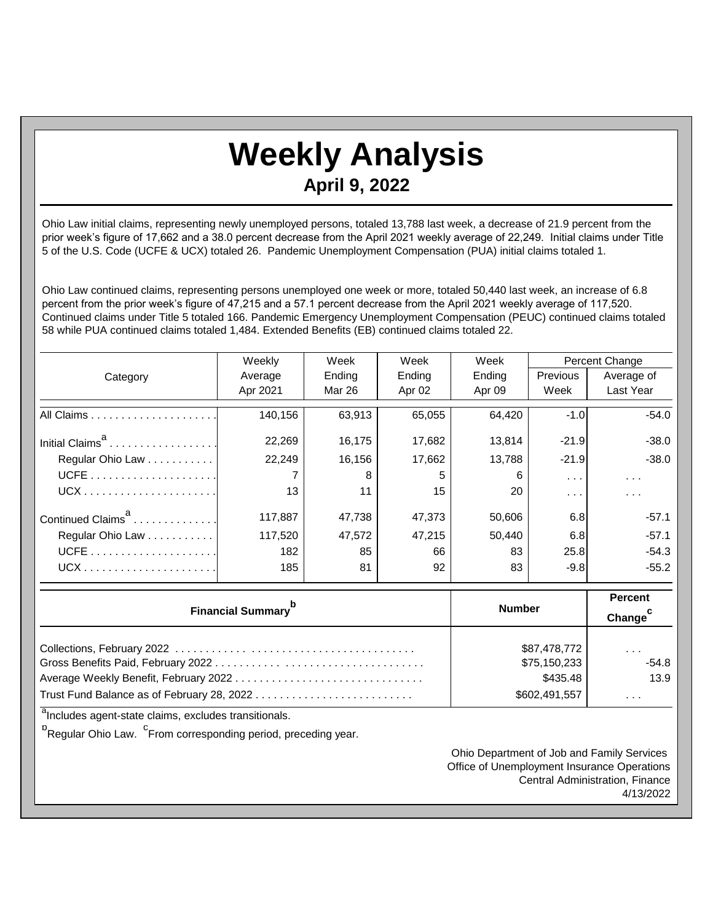## **Weekly Analysis April 9, 2022**

Ohio Law initial claims, representing newly unemployed persons, totaled 13,788 last week, a decrease of 21.9 percent from the prior week's figure of 17,662 and a 38.0 percent decrease from the April 2021 weekly average of 22,249. Initial claims under Title 5 of the U.S. Code (UCFE & UCX) totaled 26. Pandemic Unemployment Compensation (PUA) initial claims totaled 1.

Ohio Law continued claims, representing persons unemployed one week or more, totaled 50,440 last week, an increase of 6.8 percent from the prior week's figure of 47,215 and a 57.1 percent decrease from the April 2021 weekly average of 117,520. Continued claims under Title 5 totaled 166. Pandemic Emergency Unemployment Compensation (PEUC) continued claims totaled 58 while PUA continued claims totaled 1,484. Extended Benefits (EB) continued claims totaled 22.

|                               | Weekly   | Week   | Week   | Week   | Percent Change |            |
|-------------------------------|----------|--------|--------|--------|----------------|------------|
| Category                      | Average  | Ending | Ending | Ending | Previous       | Average of |
|                               | Apr 2021 | Mar 26 | Apr 02 | Apr 09 | Week           | Last Year  |
|                               | 140,156  | 63,913 | 65,055 | 64,420 | $-1.0$         | $-54.0$    |
|                               | 22,269   | 16,175 | 17,682 | 13,814 | $-21.9$        | $-38.0$    |
| Regular Ohio Law              | 22,249   | 16,156 | 17,662 | 13,788 | $-21.9$        | $-38.0$    |
|                               |          | 8      | 5      | 6      | $\cdots$       | $\cdots$   |
|                               | 13       | 11     | 15     | 20     | .              | .          |
| Continued Claims <sup>a</sup> | 117,887  | 47,738 | 47,373 | 50,606 | 6.8            | $-57.1$    |
| Regular Ohio Law              | 117,520  | 47,572 | 47,215 | 50,440 | 6.8            | $-57.1$    |
|                               | 182      | 85     | 66     | 83     | 25.8           | $-54.3$    |
|                               | 185      | 81     | 92     | 83     | $-9.8$         | $-55.2$    |

| Financial Summary <sup>p</sup>             | <b>Number</b>                            | <b>Percent</b><br>Change <sup>C</sup>   |
|--------------------------------------------|------------------------------------------|-----------------------------------------|
|                                            | \$87,478,772<br>\$75,150,233<br>\$435.48 | $\sim$ $\sim$ $\sim$<br>$-54.8$<br>13.9 |
| Trust Fund Balance as of February 28, 2022 | \$602,491,557                            | .                                       |

<sup>a</sup>Includes agent-state claims, excludes transitionals.

<sup>b</sup><br>Regular Ohio Law. <sup>C</sup>From corresponding period, preceding year.

Ohio Department of Job and Family Services Office of Unemployment Insurance Operations Central Administration, Finance 4/13/2022